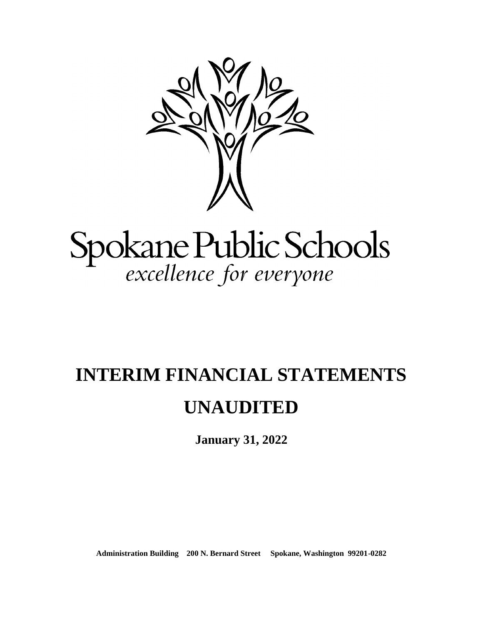

# Spokane Public Schools<br>excellence for everyone

# **INTERIM FINANCIAL STATEMENTS UNAUDITED**

**January 31, 2022**

**Administration Building 200 N. Bernard Street Spokane, Washington 99201-0282**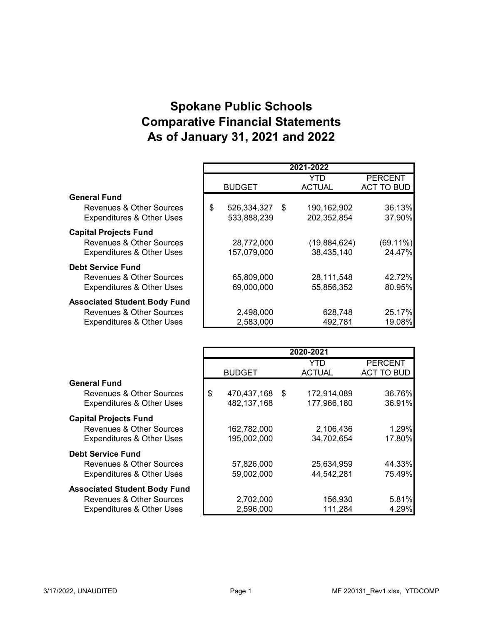# **Spokane Public Schools Comparative Financial Statements As of January 31, 2021 and 2022**

|                                      |                      | 2021-2022     |                   |
|--------------------------------------|----------------------|---------------|-------------------|
|                                      |                      | YTD           | <b>PERCENT</b>    |
|                                      | <b>BUDGET</b>        | <b>ACTUAL</b> | <b>ACT TO BUD</b> |
| <b>General Fund</b>                  |                      |               |                   |
| Revenues & Other Sources             | \$<br>526,334,327 \$ | 190, 162, 902 | 36.13%            |
| <b>Expenditures &amp; Other Uses</b> | 533,888,239          | 202,352,854   | 37.90%            |
| <b>Capital Projects Fund</b>         |                      |               |                   |
| <b>Revenues &amp; Other Sources</b>  | 28,772,000           | (19,884,624)  | $(69.11\%)$       |
| <b>Expenditures &amp; Other Uses</b> | 157,079,000          | 38,435,140    | 24.47%            |
| <b>Debt Service Fund</b>             |                      |               |                   |
| <b>Revenues &amp; Other Sources</b>  | 65,809,000           | 28,111,548    | 42.72%            |
| <b>Expenditures &amp; Other Uses</b> | 69,000,000           | 55,856,352    | 80.95%            |
| <b>Associated Student Body Fund</b>  |                      |               |                   |
| Revenues & Other Sources             | 2,498,000            | 628,748       | 25.17%            |
| <b>Expenditures &amp; Other Uses</b> | 2,583,000            | 492,781       | 19.08%            |

|                                      |                   |      | 2020-2021     |                   |
|--------------------------------------|-------------------|------|---------------|-------------------|
|                                      |                   |      | YTD           | <b>PERCENT</b>    |
|                                      | <b>BUDGET</b>     |      | <b>ACTUAL</b> | <b>ACT TO BUD</b> |
| <b>General Fund</b>                  |                   |      |               |                   |
| Revenues & Other Sources             | \$<br>470,437,168 | - \$ | 172,914,089   | 36.76%            |
| <b>Expenditures &amp; Other Uses</b> | 482, 137, 168     |      | 177,966,180   | 36.91%            |
| <b>Capital Projects Fund</b>         |                   |      |               |                   |
| Revenues & Other Sources             | 162,782,000       |      | 2,106,436     | 1.29%             |
| <b>Expenditures &amp; Other Uses</b> | 195,002,000       |      | 34,702,654    | 17.80%            |
| <b>Debt Service Fund</b>             |                   |      |               |                   |
| Revenues & Other Sources             | 57,826,000        |      | 25,634,959    | 44.33%            |
| <b>Expenditures &amp; Other Uses</b> | 59,002,000        |      | 44,542,281    | 75.49%            |
| <b>Associated Student Body Fund</b>  |                   |      |               |                   |
| Revenues & Other Sources             | 2,702,000         |      | 156,930       | 5.81%             |
| <b>Expenditures &amp; Other Uses</b> | 2,596,000         |      | 111,284       | 4.29%             |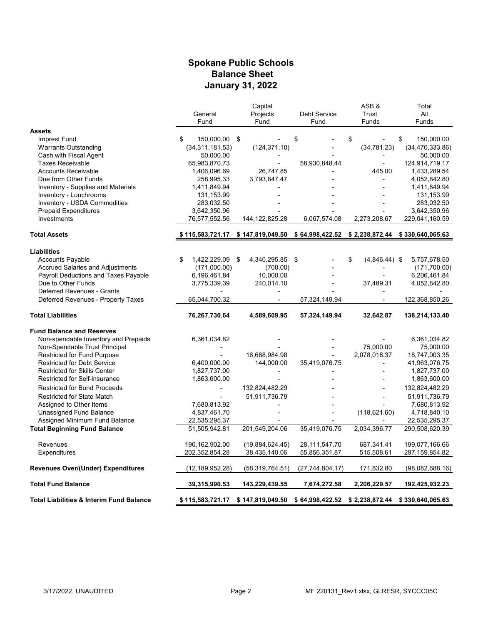#### **Spokane Public Schools Balance Sheet January 31, 2022**

|                                                     |                      | Capital            |                                  | ASB&                  | Total                             |
|-----------------------------------------------------|----------------------|--------------------|----------------------------------|-----------------------|-----------------------------------|
|                                                     | General              | Projects           | <b>Debt Service</b>              | Trust                 | All                               |
|                                                     | Fund                 | Fund               | Fund                             | Funds                 | Funds                             |
| <b>Assets</b>                                       |                      |                    |                                  |                       |                                   |
| Imprest Fund                                        | 150,000.00 \$<br>\$. |                    | \$                               | \$                    | \$<br>150,000.00                  |
| <b>Warrants Outstanding</b>                         | (34, 311, 181.53)    | (124, 371.10)      |                                  | (34, 781.23)          | (34, 470, 333.86)                 |
| Cash with Fiscal Agent                              | 50,000.00            |                    |                                  |                       | 50,000.00                         |
| <b>Taxes Receivable</b>                             | 65,983,870.73        |                    | 58,930,848.44                    |                       | 124,914,719.17                    |
| <b>Accounts Receivable</b>                          | 1,406,096.69         | 26,747.85          |                                  | 445.00                | 1,433,289.54                      |
| Due from Other Funds                                | 258,995.33           | 3,793,847.47       |                                  |                       | 4,052,842.80                      |
| Inventory - Supplies and Materials                  | 1,411,849.94         |                    |                                  |                       | 1,411,849.94                      |
| Inventory - Lunchrooms                              | 131,153.99           |                    |                                  |                       | 131,153.99                        |
| Inventory - USDA Commodities                        | 283,032.50           |                    |                                  |                       | 283,032.50                        |
| <b>Prepaid Expenditures</b>                         |                      |                    |                                  |                       |                                   |
| Investments                                         | 3,642,350.96         |                    |                                  |                       | 3,642,350.96<br>229,041,160.59    |
|                                                     | 76,577,552.56        | 144, 122, 825. 28  | 6,067,574.08                     | 2,273,208.67          |                                   |
| <b>Total Assets</b>                                 | \$ 115,583,721.17    | \$147,819,049.50   | \$64,998,422.52                  |                       | $$2,238,872.44$ $$330,640,065.63$ |
| <b>Liabilities</b>                                  |                      |                    |                                  |                       |                                   |
| <b>Accounts Payable</b>                             | 1.422.229.09<br>\$   | 4,340,295.85<br>\$ | \$                               | \$<br>$(4,846.44)$ \$ | 5,757,678.50                      |
| <b>Accrued Salaries and Adjustments</b>             | (171,000.00)         | (700.00)           |                                  |                       | (171, 700.00)                     |
| Payroll Deductions and Taxes Payable                | 6,196,461.84         | 10,000.00          |                                  |                       | 6,206,461.84                      |
| Due to Other Funds                                  | 3,775,339.39         | 240,014.10         |                                  | 37,489.31             | 4,052,842.80                      |
| Deferred Revenues - Grants                          |                      |                    |                                  |                       |                                   |
| Deferred Revenues - Property Taxes                  | 65,044,700.32        |                    | 57,324,149.94                    |                       | 122,368,850.26                    |
|                                                     |                      |                    |                                  |                       |                                   |
| <b>Total Liabilities</b>                            | 76,267,730.64        | 4,589,609.95       | 57,324,149.94                    | 32,642.87             | 138,214,133.40                    |
| <b>Fund Balance and Reserves</b>                    |                      |                    |                                  |                       |                                   |
| Non-spendable Inventory and Prepaids                | 6,361,034.82         |                    |                                  |                       | 6,361,034.82                      |
| Non-Spendable Trust Principal                       |                      |                    |                                  | 75,000.00             | 75,000.00                         |
| Restricted for Fund Purpose                         |                      | 16,668,984.98      |                                  | 2,078,018.37          | 18,747,003.35                     |
| <b>Restricted for Debt Service</b>                  | 6,400,000.00         | 144,000.00         | 35,419,076.75                    | $\overline{a}$        | 41,963,076.75                     |
| <b>Restricted for Skills Center</b>                 | 1,827,737.00         |                    |                                  |                       | 1,827,737.00                      |
| Restricted for Self-insurance                       | 1,863,600.00         |                    |                                  |                       | 1,863,600.00                      |
| <b>Restricted for Bond Proceeds</b>                 |                      | 132,824,482.29     |                                  |                       | 132,824,482.29                    |
|                                                     |                      | 51,911,736.79      |                                  | $\overline{a}$        |                                   |
| <b>Restricted for State Match</b>                   |                      |                    |                                  |                       | 51,911,736.79                     |
| Assigned to Other Items                             | 7,680,813.92         |                    |                                  |                       | 7,680,813.92                      |
| Unassigned Fund Balance                             | 4,837,461.70         |                    |                                  | (118, 621.60)         | 4,718,840.10                      |
| Assigned Minimum Fund Balance                       | 22,535,295.37        |                    |                                  |                       | 22,535,295.37                     |
| <b>Total Beginning Fund Balance</b>                 | 51,505,942.81        | 201,549,204.06     | 35,419,076.75                    | 2,034,396.77          | 290,508,620.39                    |
| Revenues                                            | 190,162,902.00       | (19,884,624.45)    | 28,111,547.70                    | 687,341.41            | 199,077,166.66                    |
| Expenditures                                        | 202,352,854.28       | 38,435,140.06      | 55,856,351.87                    | 515,508.61            | 297,159,854.82                    |
| <b>Revenues Over/(Under) Expenditures</b>           | (12, 189, 952.28)    | (58, 319, 764.51)  | (27, 744, 804.17)                | 171,832.80            | (98,082,688.16)                   |
| <b>Total Fund Balance</b>                           | 39,315,990.53        | 143,229,439.55     | 7,674,272.58                     | 2,206,229.57          | 192,425,932.23                    |
| <b>Total Liabilities &amp; Interim Fund Balance</b> | \$ 115,583,721.17    | \$147,819,049.50   | $$64,998,422.52$ $$2,238,872.44$ |                       | \$330,640,065.63                  |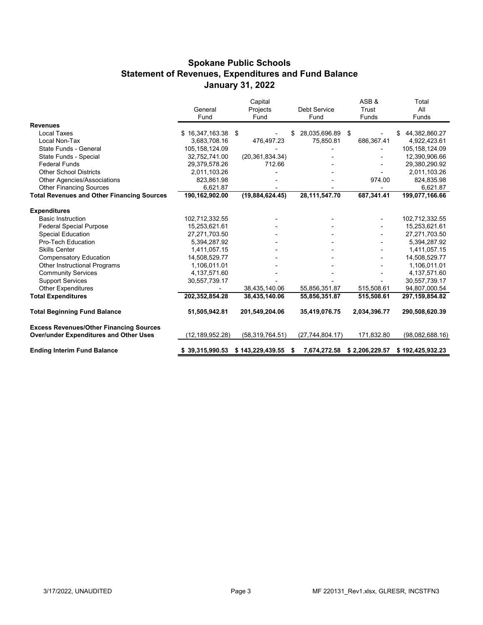#### **Spokane Public Schools Statement of Revenues, Expenditures and Fund Balance January 31, 2022**

|                                                   |                   | Capital           |                     | ASB&           | Total               |  |
|---------------------------------------------------|-------------------|-------------------|---------------------|----------------|---------------------|--|
|                                                   | General           | Projects          | <b>Debt Service</b> | Trust          | All                 |  |
|                                                   | Fund              | Fund              | Fund                | <b>Funds</b>   | Funds               |  |
| <b>Revenues</b>                                   |                   |                   |                     |                |                     |  |
| Local Taxes                                       | \$16,347,163.38   | \$                | 28,035,696.89       | \$             | 44,382,860.27<br>\$ |  |
| Local Non-Tax                                     | 3,683,708.16      | 476,497.23        | 75,850.81           | 686,367.41     | 4,922,423.61        |  |
| State Funds - General                             | 105,158,124.09    |                   |                     |                | 105,158,124.09      |  |
| State Funds - Special                             | 32,752,741.00     | (20, 361, 834.34) |                     |                | 12,390,906.66       |  |
| <b>Federal Funds</b>                              | 29,379,578.26     | 712.66            |                     |                | 29,380,290.92       |  |
| <b>Other School Districts</b>                     | 2,011,103.26      |                   |                     |                | 2,011,103.26        |  |
| Other Agencies/Associations                       | 823.861.98        |                   |                     | 974.00         | 824,835.98          |  |
| <b>Other Financing Sources</b>                    | 6,621.87          |                   |                     |                | 6,621.87            |  |
| <b>Total Revenues and Other Financing Sources</b> | 190,162,902.00    | (19,884,624.45)   | 28,111,547.70       | 687,341.41     | 199,077,166.66      |  |
|                                                   |                   |                   |                     |                |                     |  |
| <b>Expenditures</b>                               |                   |                   |                     |                |                     |  |
| <b>Basic Instruction</b>                          | 102,712,332.55    |                   |                     |                | 102,712,332.55      |  |
| <b>Federal Special Purpose</b>                    | 15,253,621.61     |                   |                     |                | 15,253,621.61       |  |
| <b>Special Education</b>                          | 27,271,703.50     |                   |                     |                | 27,271,703.50       |  |
| <b>Pro-Tech Education</b>                         | 5,394,287.92      |                   |                     |                | 5,394,287.92        |  |
| <b>Skills Center</b>                              | 1,411,057.15      |                   |                     |                | 1,411,057.15        |  |
| <b>Compensatory Education</b>                     | 14,508,529.77     |                   |                     |                | 14,508,529.77       |  |
| Other Instructional Programs                      | 1,106,011.01      |                   |                     |                | 1,106,011.01        |  |
| <b>Community Services</b>                         | 4,137,571.60      |                   |                     |                | 4,137,571.60        |  |
| <b>Support Services</b>                           | 30,557,739.17     |                   |                     |                | 30,557,739.17       |  |
| <b>Other Expenditures</b>                         |                   | 38,435,140.06     | 55,856,351.87       | 515,508.61     | 94,807,000.54       |  |
| <b>Total Expenditures</b>                         | 202,352,854.28    | 38,435,140.06     | 55,856,351.87       | 515,508.61     | 297, 159, 854.82    |  |
| <b>Total Beginning Fund Balance</b>               | 51,505,942.81     | 201,549,204.06    | 35,419,076.75       | 2,034,396.77   | 290,508,620.39      |  |
| <b>Excess Revenues/Other Financing Sources</b>    |                   |                   |                     |                |                     |  |
| <b>Over/under Expenditures and Other Uses</b>     | (12, 189, 952.28) | (58, 319, 764.51) | (27, 744, 804.17)   | 171,832.80     | (98,082,688.16)     |  |
| <b>Ending Interim Fund Balance</b>                | \$39,315,990.53   | \$143,229,439.55  | 7,674,272.58<br>\$  | \$2,206,229.57 | \$192,425,932.23    |  |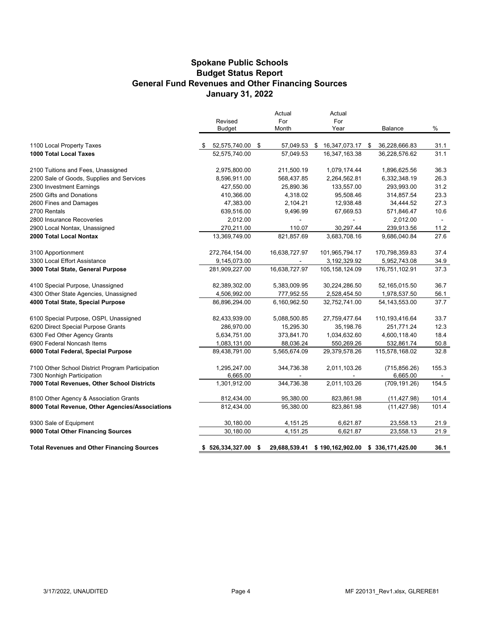#### **Spokane Public Schools General Fund Revenues and Other Financing Sources January 31, 2022 Budget Status Report**

|                                                   | Revised          | Actual<br>For |    | Actual<br>For                                   |      |                  |        |
|---------------------------------------------------|------------------|---------------|----|-------------------------------------------------|------|------------------|--------|
|                                                   | <b>Budget</b>    | Month         |    | Year                                            |      | Balance          | %      |
| 1100 Local Property Taxes                         | 52,575,740.00 \$ | 57,049.53     | S. | 16,347,073.17                                   | - \$ | 36,228,666.83    | 31.1   |
| <b>1000 Total Local Taxes</b>                     | 52,575,740.00    | 57,049.53     |    | 16,347,163.38                                   |      | 36,228,576.62    | 31.1   |
| 2100 Tuitions and Fees, Unassigned                | 2,975,800.00     | 211,500.19    |    | 1,079,174.44                                    |      | 1,896,625.56     | 36.3   |
| 2200 Sale of Goods, Supplies and Services         | 8,596,911.00     | 568,437.85    |    | 2,264,562.81                                    |      | 6,332,348.19     | 26.3   |
| 2300 Investment Earnings                          | 427,550.00       | 25,890.36     |    | 133,557.00                                      |      | 293,993.00       | 31.2   |
| 2500 Gifts and Donations                          | 410,366.00       | 4,318.02      |    | 95,508.46                                       |      | 314,857.54       | 23.3   |
| 2600 Fines and Damages                            | 47,383.00        | 2,104.21      |    | 12,938.48                                       |      | 34,444.52        | 27.3   |
| 2700 Rentals                                      | 639,516.00       | 9,496.99      |    | 67,669.53                                       |      | 571,846.47       | 10.6   |
| 2800 Insurance Recoveries                         | 2,012.00         | ÷.            |    |                                                 |      | 2,012.00         | $\sim$ |
| 2900 Local Nontax, Unassigned                     | 270,211.00       | 110.07        |    | 30,297.44                                       |      | 239,913.56       | 11.2   |
| 2000 Total Local Nontax                           | 13,369,749.00    | 821,857.69    |    | 3,683,708.16                                    |      | 9,686,040.84     | 27.6   |
| 3100 Apportionment                                | 272,764,154.00   | 16,638,727.97 |    | 101,965,794.17                                  |      | 170,798,359.83   | 37.4   |
| 3300 Local Effort Assistance                      | 9,145,073.00     |               |    | 3,192,329.92                                    |      | 5,952,743.08     | 34.9   |
| 3000 Total State, General Purpose                 | 281,909,227.00   | 16,638,727.97 |    | 105, 158, 124.09                                |      | 176,751,102.91   | 37.3   |
| 4100 Special Purpose, Unassigned                  | 82,389,302.00    | 5,383,009.95  |    | 30,224,286.50                                   |      | 52,165,015.50    | 36.7   |
| 4300 Other State Agencies, Unassigned             | 4,506,992.00     | 777,952.55    |    | 2,528,454.50                                    |      | 1,978,537.50     | 56.1   |
| 4000 Total State, Special Purpose                 | 86,896,294.00    | 6,160,962.50  |    | 32,752,741.00                                   |      | 54, 143, 553. 00 | 37.7   |
| 6100 Special Purpose, OSPI, Unassigned            | 82,433,939.00    | 5,088,500.85  |    | 27,759,477.64                                   |      | 110,193,416.64   | 33.7   |
| 6200 Direct Special Purpose Grants                | 286,970.00       | 15,295.30     |    | 35,198.76                                       |      | 251,771.24       | 12.3   |
| 6300 Fed Other Agency Grants                      | 5,634,751.00     | 373,841.70    |    | 1,034,632.60                                    |      | 4,600,118.40     | 18.4   |
| 6900 Federal Noncash Items                        | 1,083,131.00     | 88,036.24     |    | 550,269.26                                      |      | 532,861.74       | 50.8   |
| 6000 Total Federal, Special Purpose               | 89,438,791.00    | 5,565,674.09  |    | 29,379,578.26                                   |      | 115,578,168.02   | 32.8   |
| 7100 Other School District Program Participation  | 1,295,247.00     | 344,736.38    |    | 2,011,103.26                                    |      | (715, 856.26)    | 155.3  |
| 7300 Nonhigh Participation                        | 6,665.00         |               |    |                                                 |      | 6,665.00         | $\sim$ |
| 7000 Total Revenues, Other School Districts       | 1,301,912.00     | 344,736.38    |    | 2,011,103.26                                    |      | (709, 191.26)    | 154.5  |
| 8100 Other Agency & Association Grants            | 812,434.00       | 95,380.00     |    | 823,861.98                                      |      | (11, 427.98)     | 101.4  |
| 8000 Total Revenue, Other Agencies/Associations   | 812,434.00       | 95,380.00     |    | 823,861.98                                      |      | (11, 427.98)     | 101.4  |
| 9300 Sale of Equipment                            | 30,180.00        | 4,151.25      |    | 6,621.87                                        |      | 23,558.13        | 21.9   |
| 9000 Total Other Financing Sources                | 30,180.00        | 4,151.25      |    | 6,621.87                                        |      | 23,558.13        | 21.9   |
| <b>Total Revenues and Other Financing Sources</b> | \$526,334,327.00 | \$            |    | 29,688,539.41 \$190,162,902.00 \$336,171,425.00 |      |                  | 36.1   |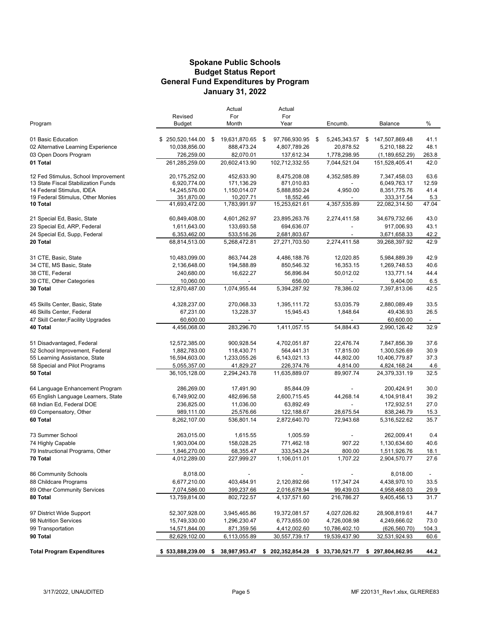#### **Budget Status Report General Fund Expenditures by Program Spokane Public Schools January 31, 2022**

|                                               |                             | Actual                    | Actual                          |                          |                             |              |
|-----------------------------------------------|-----------------------------|---------------------------|---------------------------------|--------------------------|-----------------------------|--------------|
|                                               | Revised                     | For                       | For                             |                          |                             |              |
| Program                                       | Budget                      | Month                     | Year                            | Encumb.                  | Balance                     | %            |
| 01 Basic Education                            | \$250,520,144.00            | 19,631,870.65<br>\$       | 97,766,930.95<br>-\$            | 5,245,343.57<br>-\$      | 147,507,869.48<br>\$        | 41.1         |
| 02 Alternative Learning Experience            | 10,038,856.00               | 888,473.24                | 4,807,789.26                    | 20,878.52                | 5,210,188.22                | 48.1         |
| 03 Open Doors Program                         | 726,259.00                  | 82,070.01                 | 137,612.34                      | 1,778,298.95             | (1, 189, 652.29)            | 263.8        |
| 01 Total                                      | 261,285,259.00              | 20,602,413.90             | 102,712,332.55                  | 7,044,521.04             | 151,528,405.41              | 42.0         |
| 12 Fed Stimulus, School Improvement           | 20,175,252.00               | 452,633.90                | 8,475,208.08                    | 4,352,585.89             | 7,347,458.03                | 63.6         |
| 13 State Fiscal Stabilization Funds           | 6,920,774.00                | 171,136.29                | 871,010.83                      |                          | 6,049,763.17                | 12.59        |
| 14 Federal Stimulus, IDEA                     | 14,245,576.00               | 1,150,014.07              | 5,888,850.24                    | 4,950.00                 | 8,351,775.76                | 41.4         |
| 19 Federal Stimulus, Other Monies<br>10 Total | 351,870.00<br>41,693,472.00 | 10,207.71<br>1,783,991.97 | 18,552.46<br>15,253,621.61      | 4,357,535.89             | 333,317.54<br>22,082,314.50 | 5.3<br>47.04 |
|                                               |                             |                           |                                 |                          |                             |              |
| 21 Special Ed, Basic, State                   | 60,849,408.00               | 4,601,262.97              | 23,895,263.76                   | 2,274,411.58             | 34,679,732.66               | 43.0         |
| 23 Special Ed, ARP, Federal                   | 1,611,643.00                | 133,693.58                | 694,636.07                      |                          | 917,006.93                  | 43.1         |
| 24 Special Ed, Supp, Federal                  | 6,353,462.00                | 533,516.26                | 2,681,803.67                    |                          | 3,671,658.33                | 42.2         |
| 20 Total                                      | 68,814,513.00               | 5,268,472.81              | 27,271,703.50                   | 2,274,411.58             | 39,268,397.92               | 42.9         |
| 31 CTE, Basic, State                          | 10,483,099.00               | 863,744.28                | 4,486,188.76                    | 12,020.85                | 5,984,889.39                | 42.9         |
| 34 CTE, MS Basic, State                       | 2,136,648.00                | 194,588.89                | 850,546.32                      | 16,353.15                | 1,269,748.53                | 40.6         |
| 38 CTE, Federal                               | 240,680.00                  | 16,622.27                 | 56,896.84                       | 50,012.02                | 133,771.14                  | 44.4         |
| 39 CTE, Other Categories                      | 10,060.00                   |                           | 656.00                          | $\overline{\phantom{a}}$ | 9,404.00                    | 6.5          |
| 30 Total                                      | 12,870,487.00               | 1,074,955.44              | 5,394,287.92                    | 78,386.02                | 7,397,813.06                | 42.5         |
| 45 Skills Center, Basic, State                | 4,328,237.00                | 270,068.33                | 1,395,111.72                    | 53,035.79                | 2,880,089.49                | 33.5         |
| 46 Skills Center, Federal                     | 67,231.00                   | 13,228.37                 | 15,945.43                       | 1,848.64                 | 49,436.93                   | 26.5         |
| 47 Skill Center, Facility Upgrades            | 60,600.00                   |                           |                                 |                          | 60,600.00                   |              |
| 40 Total                                      | 4,456,068.00                | 283,296.70                | 1,411,057.15                    | 54,884.43                | 2,990,126.42                | 32.9         |
| 51 Disadvantaged, Federal                     | 12,572,385.00               | 900,928.54                | 4,702,051.87                    | 22,476.74                | 7,847,856.39                | 37.6         |
| 52 School Improvement, Federal                | 1,882,783.00                | 118,430.71                | 564,441.31                      | 17,815.00                | 1,300,526.69                | 30.9         |
| 55 Learning Assistance, State                 | 16,594,603.00               | 1,233,055.26              | 6,143,021.13                    | 44,802.00                | 10,406,779.87               | 37.3         |
| 58 Special and Pilot Programs                 | 5,055,357.00                | 41,829.27                 | 226,374.76                      | 4,814.00                 | 4,824,168.24                | 4.6          |
| 50 Total                                      | 36,105,128.00               | 2,294,243.78              | 11,635,889.07                   | 89,907.74                | 24,379,331.19               | 32.5         |
| 64 Language Enhancement Program               | 286,269.00                  | 17,491.90                 | 85,844.09                       |                          | 200,424.91                  | 30.0         |
| 65 English Language Learners, State           | 6,749,902.00                | 482,696.58                | 2,600,715.45                    | 44,268.14                | 4,104,918.41                | 39.2         |
| 68 Indian Ed, Federal DOE                     | 236,825.00                  | 11,036.00                 | 63,892.49                       |                          | 172,932.51                  | 27.0         |
| 69 Compensatory, Other                        | 989,111.00                  | 25,576.66                 | 122,188.67                      | 28,675.54                | 838,246.79                  | 15.3         |
| 60 Total                                      | 8,262,107.00                | 536,801.14                | 2,872,640.70                    | 72,943.68                | 5,316,522.62                | 35.7         |
| 73 Summer School                              | 263,015.00                  | 1,615.55                  | 1,005.59                        |                          | 262,009.41                  | 0.4          |
| 74 Highly Capable                             | 1,903,004.00                | 158,028.25                | 771,462.18                      | 907.22                   | 1,130,634.60                | 40.6         |
| 79 Instructional Programs, Other              | 1,846,270.00                | 68,355.47                 | 333,543.24                      | 800.00                   | 1,511,926.76                | 18.1         |
| 70 Total                                      | 4,012,289.00                | 227,999.27                | 1,106,011.01                    | 1,707.22                 | 2,904,570.77                | 27.6         |
| 86 Community Schools                          | 8,018.00                    |                           |                                 |                          | 8,018.00                    |              |
| 88 Childcare Programs                         | 6,677,210.00                | 403,484.91                | 2,120,892.66                    | 117,347.24               | 4,438,970.10                | 33.5         |
| 89 Other Community Services                   | 7,074,586.00                | 399,237.66                | 2,016,678.94                    | 99,439.03                | 4,958,468.03                | 29.9         |
| 80 Total                                      | 13,759,814.00               | 802,722.57                | 4,137,571.60                    | 216,786.27               | 9,405,456.13                | 31.7         |
| 97 District Wide Support                      | 52,307,928.00               | 3,945,465.86              | 19,372,081.57                   | 4,027,026.82             | 28,908,819.61               | 44.7         |
| 98 Nutrition Services                         | 15,749,330.00               | 1,296,230.47              | 6,773,655.00                    | 4,726,008.98             | 4,249,666.02                | 73.0         |
| 99 Transportation                             | 14,571,844.00               | 871,359.56                | 4,412,002.60                    | 10,786,402.10            | (626, 560.70)               | 104.3        |
| 90 Total                                      | 82,629,102.00               | 6,113,055.89              | 30,557,739.17                   | 19,539,437.90            | 32,531,924.93               | 60.6         |
| <b>Total Program Expenditures</b>             | \$533,888,239.00            | \$                        | 38,987,953.47 \$ 202,352,854.28 | \$ 33,730,521.77         | \$297,804,862.95            | 44.2         |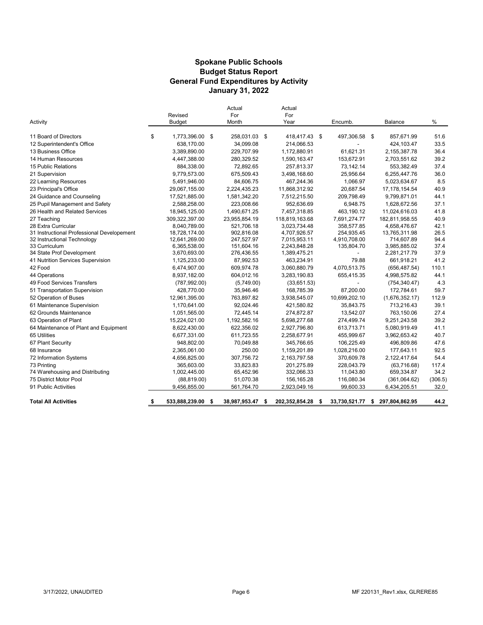#### **Spokane Public Schools General Fund Expenditures by Activity January 31, 2022 Budget Status Report**

| Activity                                   | Revised<br><b>Budget</b> | Actual<br>For<br>Month | Actual<br>For<br>Year |     | Encumb.        | Balance              | $\frac{0}{0}$ |
|--------------------------------------------|--------------------------|------------------------|-----------------------|-----|----------------|----------------------|---------------|
| 11 Board of Directors                      | \$<br>1.773.396.00 \$    | 258.031.03 \$          | 418.417.43 \$         |     | 497,306.58 \$  | 857.671.99           | 51.6          |
| 12 Superintendent's Office                 | 638,170.00               | 34,099.08              | 214,066.53            |     |                | 424,103.47           | 33.5          |
| 13 Business Office                         | 3,389,890.00             | 229,707.99             | 1,172,880.91          |     | 61,621.31      | 2,155,387.78         | 36.4          |
| 14 Human Resources                         | 4,447,388.00             | 280.329.52             | 1,590,163.47          |     | 153.672.91     | 2,703,551.62         | 39.2          |
| 15 Public Relations                        | 884,338.00               | 72,892.65              | 257,813.37            |     | 73,142.14      | 553,382.49           | 37.4          |
| 21 Supervision                             | 9,779,573.00             | 675,509.43             | 3,498,168.60          |     | 25,956.64      | 6,255,447.76         | 36.0          |
| 22 Learning Resources                      | 5,491,946.00             | 84,606.75              | 467,244.36            |     | 1.066.97       | 5,023,634.67         | 8.5           |
| 23 Principal's Office                      | 29,067,155.00            | 2,224,435.23           | 11,868,312.92         |     | 20.687.54      | 17, 178, 154.54      | 40.9          |
| 24 Guidance and Counseling                 | 17,521,885.00            | 1,581,342.20           | 7,512,215.50          |     | 209,798.49     | 9,799,871.01         | 44.1          |
| 25 Pupil Management and Safety             | 2,588,258.00             | 223,008.66             | 952,636.69            |     | 6,948.75       | 1,628,672.56         | 37.1          |
| 26 Health and Related Services             | 18,945,125.00            | 1,490,671.25           | 7,457,318.85          |     | 463,190.12     | 11,024,616.03        | 41.8          |
| 27 Teaching                                | 309,322,397.00           | 23,955,854.19          | 118,819,163.68        |     | 7,691,274.77   | 182,811,958.55       | 40.9          |
| 28 Extra Curricular                        | 8.040.789.00             | 521.706.18             | 3.023.734.48          |     | 358.577.85     | 4,658,476.67         | 42.1          |
| 31 Instructional Professional Developement | 18,728,174.00            | 902,816.08             | 4,707,926.57          |     | 254,935.45     | 13,765,311.98        | 26.5          |
| 32 Instructional Technology                | 12,641,269.00            | 247,527.97             | 7,015,953.11          |     | 4,910,708.00   | 714,607.89           | 94.4          |
| 33 Curriculum                              | 6,365,538.00             | 151,604.16             | 2,243,848.28          |     | 135.804.70     | 3,985,885.02         | 37.4          |
| 34 State Prof Development                  | 3,670,693.00             | 276,436.55             | 1,389,475.21          |     | $\blacksquare$ | 2,281,217.79         | 37.9          |
| 41 Nutrition Services Supervision          | 1,125,233.00             | 87,992.53              | 463,234.91            |     | 79.88          | 661,918.21           | 41.2          |
| 42 Food                                    | 6,474,907.00             | 609,974.78             | 3,060,880.79          |     | 4,070,513.75   | (656, 487.54)        | 110.1         |
| 44 Operations                              | 8,937,182.00             | 604.012.16             | 3.283.190.83          |     | 655,415.35     | 4,998,575.82         | 44.1          |
| 49 Food Services Transfers                 | (787, 992.00)            | (5,749.00)             | (33,651.53)           |     |                | (754, 340.47)        | 4.3           |
| 51 Transportation Supervision              | 428,770.00               | 35,946.46              | 168,785.39            |     | 87,200.00      | 172,784.61           | 59.7          |
| 52 Operation of Buses                      | 12,961,395.00            | 763.897.82             | 3,938,545.07          |     | 10,699,202.10  | (1,676,352.17)       | 112.9         |
| 61 Maintenance Supervision                 | 1,170,641.00             | 92,024.46              | 421,580.82            |     | 35,843.75      | 713,216.43           | 39.1          |
| 62 Grounds Maintenance                     | 1,051,565.00             | 72,445.14              | 274,872.87            |     | 13,542.07      | 763,150.06           | 27.4          |
| 63 Operation of Plant                      | 15,224,021.00            | 1,192,582.16           | 5,698,277.68          |     | 274,499.74     | 9,251,243.58         | 39.2          |
| 64 Maintenance of Plant and Equipment      | 8,622,430.00             | 622,356.02             | 2,927,796.80          |     | 613,713.71     | 5,080,919.49         | 41.1          |
| 65 Utilities                               | 6,677,331.00             | 611,723.55             | 2,258,677.91          |     | 455,999.67     | 3,962,653.42         | 40.7          |
| 67 Plant Security                          | 948,802.00               | 70,049.88              | 345,766.65            |     | 106,225.49     | 496,809.86           | 47.6          |
| 68 Insurance                               | 2,365,061.00             | 250.00                 | 1,159,201.89          |     | 1,028,216.00   | 177,643.11           | 92.5          |
| 72 Information Systems                     | 4,656,825.00             | 307,756.72             | 2,163,797.58          |     | 370,609.78     | 2,122,417.64         | 54.4          |
| 73 Printing                                | 365,603.00               | 33,823.83              | 201,275.89            |     | 228,043.79     | (63,716.68)          | 117.4         |
| 74 Warehousing and Distributing            | 1,002,445.00             | 65,452.96              | 332,066.33            |     | 11,043.80      | 659,334.87           | 34.2          |
| 75 District Motor Pool                     | (88, 819.00)             | 51,070.38              | 156,165.28            |     | 116,080.34     | (361,064.62)         | (306.5)       |
| 91 Public Activities                       | 9,456,855.00             | 561,764.70             | 2,923,049.16          |     | 99,600.33      | 6,434,205.51         | 32.0          |
| <b>Total All Activities</b>                | \$<br>533,888,239.00     | \$<br>38,987,953.47    | \$<br>202,352,854.28  | -\$ | 33,730,521.77  | \$<br>297,804,862.95 | 44.2          |
|                                            |                          |                        |                       |     |                |                      |               |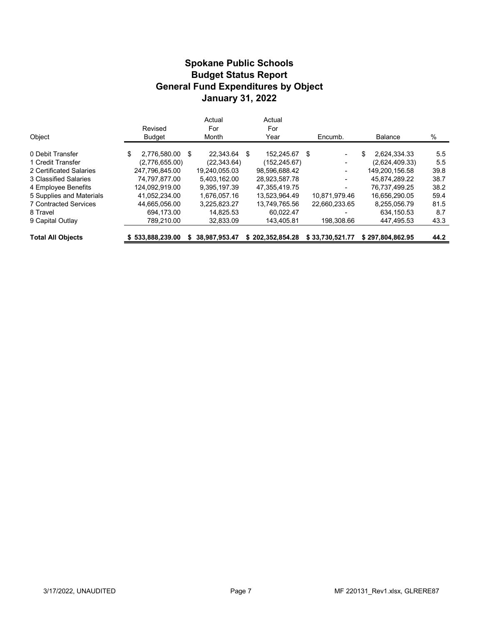### **Budget Status Report General Fund Expenditures by Object Spokane Public Schools January 31, 2022**

| Object                       | Revised<br><b>Budget</b> |      | Actual<br>For<br>Month | Actual<br>For<br>Year |      | Encumb.                  | <b>Balance</b>     | %             |
|------------------------------|--------------------------|------|------------------------|-----------------------|------|--------------------------|--------------------|---------------|
| 0 Debit Transfer             | \$<br>2.776.580.00       | - \$ | 22.343.64              | \$<br>152.245.67      | - \$ | $\blacksquare$           | \$<br>2.624.334.33 | $5.5^{\circ}$ |
| 1 Credit Transfer            | (2,776,655.00)           |      | (22, 343.64)           | (152, 245.67)         |      | $\overline{\phantom{a}}$ | (2,624,409.33)     | 5.5           |
| 2 Certificated Salaries      | 247.796.845.00           |      | 19.240.055.03          | 98,596,688.42         |      | -                        | 149.200.156.58     | 39.8          |
| 3 Classified Salaries        | 74.797.877.00            |      | 5.403.162.00           | 28.923.587.78         |      | ٠                        | 45.874.289.22      | 38.7          |
| 4 Employee Benefits          | 124.092.919.00           |      | 9.395.197.39           | 47.355.419.75         |      | ۰                        | 76.737.499.25      | 38.2          |
| 5 Supplies and Materials     | 41.052.234.00            |      | 1.676.057.16           | 13.523.964.49         |      | 10.871.979.46            | 16.656.290.05      | 59.4          |
| <b>7 Contracted Services</b> | 44.665.056.00            |      | 3.225.823.27           | 13.749.765.56         |      | 22.660.233.65            | 8,255,056.79       | 81.5          |
| 8 Travel                     | 694,173.00               |      | 14.825.53              | 60.022.47             |      |                          | 634,150.53         | 8.7           |
| 9 Capital Outlay             | 789.210.00               |      | 32.833.09              | 143.405.81            |      | 198.308.66               | 447.495.53         | 43.3          |
| <b>Total All Objects</b>     | \$533.888.239.00         |      | 38.987.953.47          | \$202.352.854.28      |      | \$33.730.521.77          | \$297.804.862.95   | 44.2          |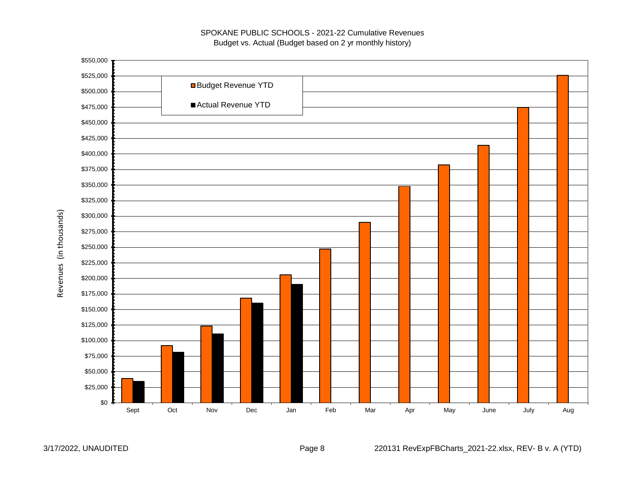#### SPOKANE PUBLIC SCHOOLS - 2021-22 Cumulative Revenues Budget vs. Actual (Budget based on 2 yr monthly history)

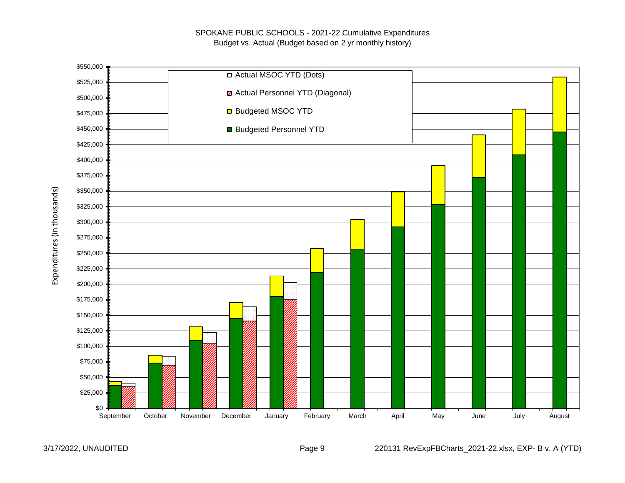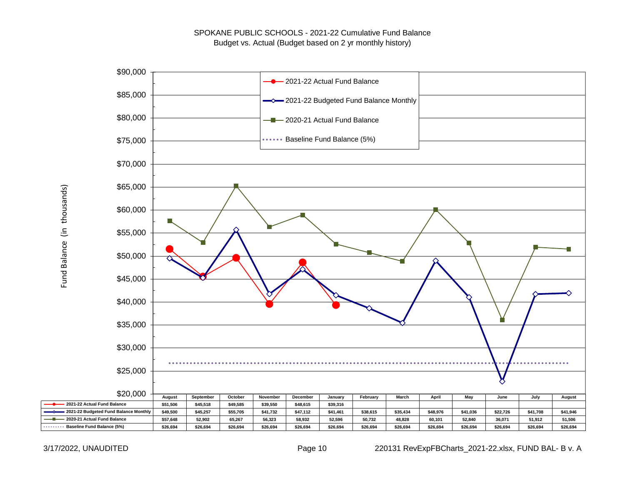

Fund Balance (in thousands) Fund Balance (in thousands)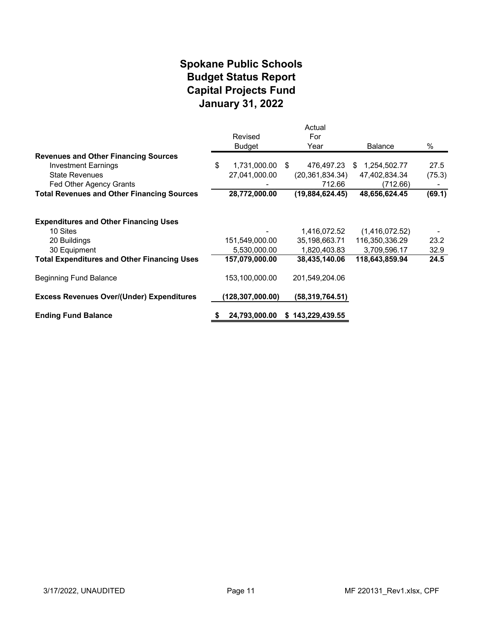# **January 31, 2022 Spokane Public Schools Capital Projects Fund Budget Status Report**

|                                                    |                    | Actual            |                    |        |
|----------------------------------------------------|--------------------|-------------------|--------------------|--------|
|                                                    | Revised            | For               |                    |        |
|                                                    | <b>Budget</b>      | Year              | <b>Balance</b>     | $\%$   |
| <b>Revenues and Other Financing Sources</b>        |                    |                   |                    |        |
| <b>Investment Earnings</b>                         | \$<br>1,731,000.00 | 476,497.23<br>-S  | 1,254,502.77<br>S. | 27.5   |
| <b>State Revenues</b>                              | 27,041,000.00      | (20, 361, 834.34) | 47,402,834.34      | (75.3) |
| Fed Other Agency Grants                            |                    | 712.66            | (712.66)           |        |
| <b>Total Revenues and Other Financing Sources</b>  | 28,772,000.00      | (19,884,624.45)   | 48,656,624.45      | (69.1) |
|                                                    |                    |                   |                    |        |
| <b>Expenditures and Other Financing Uses</b>       |                    |                   |                    |        |
| 10 Sites                                           |                    | 1,416,072.52      | (1,416,072.52)     |        |
| 20 Buildings                                       | 151,549,000.00     | 35,198,663.71     | 116,350,336.29     | 23.2   |
| 30 Equipment                                       | 5,530,000.00       | 1,820,403.83      | 3,709,596.17       | 32.9   |
| <b>Total Expenditures and Other Financing Uses</b> | 157,079,000.00     | 38,435,140.06     | 118,643,859.94     | 24.5   |
| <b>Beginning Fund Balance</b>                      | 153,100,000.00     | 201,549,204.06    |                    |        |
| <b>Excess Revenues Over/(Under) Expenditures</b>   | (128, 307, 000.00) | (58, 319, 764.51) |                    |        |
| <b>Ending Fund Balance</b>                         | 24,793,000.00      | \$143,229,439.55  |                    |        |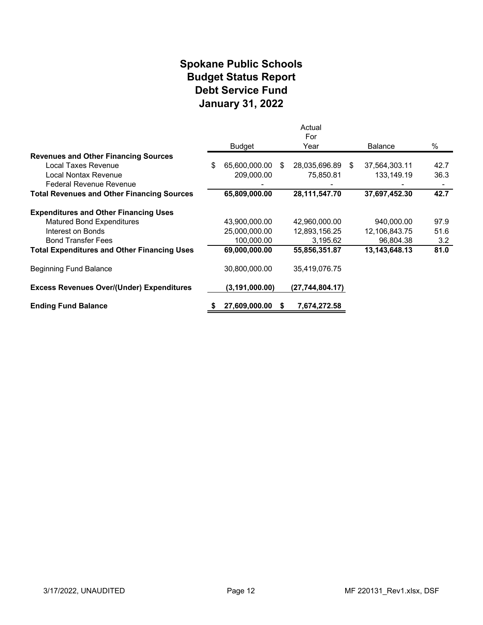# **Spokane Public Schools Debt Service Fund January 31, 2022 Budget Status Report**

|                                                    |                     |    | Actual           |                |      |
|----------------------------------------------------|---------------------|----|------------------|----------------|------|
|                                                    | <b>Budget</b>       |    | For<br>Year      | <b>Balance</b> | $\%$ |
| <b>Revenues and Other Financing Sources</b>        |                     |    |                  |                |      |
| Local Taxes Revenue                                | \$<br>65,600,000.00 | -S | 28,035,696.89 \$ | 37,564,303.11  | 42.7 |
| Local Nontax Revenue                               | 209,000.00          |    | 75,850.81        | 133,149.19     | 36.3 |
| Federal Revenue Revenue                            |                     |    |                  |                |      |
| <b>Total Revenues and Other Financing Sources</b>  | 65,809,000.00       |    | 28, 111, 547. 70 | 37,697,452.30  | 42.7 |
| <b>Expenditures and Other Financing Uses</b>       |                     |    |                  |                |      |
| <b>Matured Bond Expenditures</b>                   | 43,900,000.00       |    | 42,960,000.00    | 940,000.00     | 97.9 |
| Interest on Bonds                                  | 25,000,000.00       |    | 12,893,156.25    | 12,106,843.75  | 51.6 |
| <b>Bond Transfer Fees</b>                          | 100,000.00          |    | 3,195.62         | 96,804.38      | 3.2  |
| <b>Total Expenditures and Other Financing Uses</b> | 69,000,000.00       |    | 55,856,351.87    | 13,143,648.13  | 81.0 |
| Beginning Fund Balance                             | 30,800,000.00       |    | 35,419,076.75    |                |      |
| <b>Excess Revenues Over/(Under) Expenditures</b>   | (3,191,000.00)      |    | (27,744,804.17)  |                |      |
| <b>Ending Fund Balance</b>                         | 27,609,000.00       | S. | 7,674,272.58     |                |      |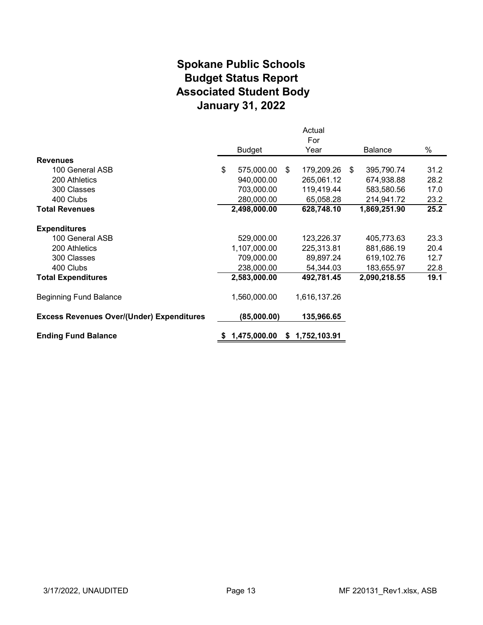# **Spokane Public Schools Associated Student Body January 31, 2022 Budget Status Report**

|                                                  |                  |    | Actual<br>For |     |                |      |
|--------------------------------------------------|------------------|----|---------------|-----|----------------|------|
|                                                  | <b>Budget</b>    |    | Year          |     | <b>Balance</b> | $\%$ |
| <b>Revenues</b>                                  |                  |    |               |     |                |      |
| 100 General ASB                                  | \$<br>575,000.00 | \$ | 179,209.26    | -\$ | 395,790.74     | 31.2 |
| 200 Athletics                                    | 940,000.00       |    | 265,061.12    |     | 674,938.88     | 28.2 |
| 300 Classes                                      | 703,000.00       |    | 119,419.44    |     | 583,580.56     | 17.0 |
| 400 Clubs                                        | 280,000.00       |    | 65,058.28     |     | 214,941.72     | 23.2 |
| <b>Total Revenues</b>                            | 2,498,000.00     |    | 628,748.10    |     | 1,869,251.90   | 25.2 |
| <b>Expenditures</b>                              |                  |    |               |     |                |      |
| 100 General ASB                                  | 529,000.00       |    | 123,226.37    |     | 405,773.63     | 23.3 |
| 200 Athletics                                    | 1,107,000.00     |    | 225,313.81    |     | 881,686.19     | 20.4 |
| 300 Classes                                      | 709,000.00       |    | 89,897.24     |     | 619,102.76     | 12.7 |
| 400 Clubs                                        | 238,000.00       |    | 54,344.03     |     | 183,655.97     | 22.8 |
| <b>Total Expenditures</b>                        | 2,583,000.00     |    | 492,781.45    |     | 2,090,218.55   | 19.1 |
| <b>Beginning Fund Balance</b>                    | 1,560,000.00     |    | 1,616,137.26  |     |                |      |
| <b>Excess Revenues Over/(Under) Expenditures</b> | (85,000.00)      |    | 135,966.65    |     |                |      |
| <b>Ending Fund Balance</b>                       | 1,475,000.00     | S. | 1,752,103.91  |     |                |      |